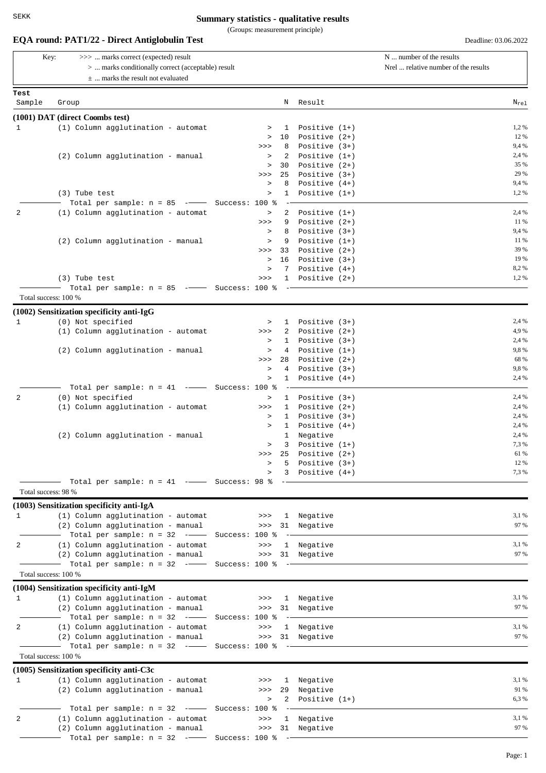(Groups: measurement principle)

N Key: >>> ... marks correct (expected) result  $N$  ... number of the results > ... marks conditionally correct (acceptable) result Sample Group Result **EQA round: PAT1/22 - Direct Antiglobulin Test** Deadline: 03.06.2022 ± ... marks the result not evaluated **Test**  $N_{\text{rel}}$ Nrel ... relative number of the results **(1001) DAT (direct Coombs test)** 1 (1) Column agglutination - automat > 1 Positive (1+) 1,2 %  $> 10$  Positive  $(2+)$  12% >>> 8 Positive (3+) 9,4 % (2) Column agglutination - manual  $\qquad \qquad$  2 Positive (1+) 2.4 %  $> 30$  Positive  $(2+)$  35% >>> 25 Positive (3+) 29 %  $> 8$  Positive  $(4+)$  9.4% (3) Tube test  $1.2\%$   $\rightarrow$  1 Positive  $(1+)$  1,2  $\rightarrow$ Total per sample:  $n = 85$  ---- Success: 100 % -2 (1) Column agglutination - automat  $2.4\%$  $\Rightarrow$  9 Positive (2+) 11% > 8 Positive (3+) 9,4 % (2) Column agglutination - manual  $\qquad \qquad \qquad$  9 Positive (1+)  $\qquad \qquad$  11%  $\Rightarrow$  33 Positive (2+) 39% > 16 Positive (3+) 19% (3+) 19% (3+) 2.9% (3+) 19% (3+) 19% (3+) 19% (3+) 19% (3+) 19% (3+) 19% (3+) 19% (3+) 19% (3+) 19% (3+) 19% (3+) 19% (3+) 19% (3+) 19% (3+) 19% (3+) 19% (3+) 19% (3+) 19% (3+) 19% (3+) 19% (3+) 19%  $> 7$  Positive  $(4+)$ (3) Tube test  $\qquad \qquad \longrightarrow \qquad$  1 Positive (2+) 1,2 % Total per sample:  $n = 85$  --- Success: 100 % -Total success: 100 % **(1002) Sensitization specificity anti-IgG** 1 (0) Not specified  $\qquad \qquad \rightarrow \qquad$  1 Positive (3+) 2.4 % (1) Column agglutination - automat >>> 2 Positive (2+) 4,9 %  $> 1$  Positive  $(3+)$  2,4% (2) Column agglutination - manual  $\rightarrow$  4 Positive (1+) 9,8%  $>>$  28 Positive  $(2+)$  68%  $> 4$  Positive  $(3+)$  9,8%  $> 1$  Positive  $(4+)$  2,4% Total per sample:  $n = 41$  -- Success: 100 % -2 (0) Not specified  $\qquad \qquad \rightarrow \qquad$  1 Positive (3+) 2.4 % (1) Column agglutination - automat >>> 1 Positive (2+) 2,4 %  $>$  1 Positive (3+) 2,4%  $2.4\%$ <br>  $>$  1 Positive (4+) 2.4%  $> 1$  Positive  $(4+)$ (2) Column agglutination - manual 1 1 Negative 1.1 Negative 2.4 % > 3 Positive (1+) 7,3 %  $\gg$  25 Positive (2+) 61% > 5 Positive (3+) 12 %  $> 3$  Positive  $(4+)$  7,3%  $-$  Total per sample:  $n = 41$   $-$  Success: 98 % Total success: 98 % **(1003) Sensitization specificity anti-IgA** 1 (1) Column agglutination - automat  $\longrightarrow$  >>> 1 Negative 3,1% 3,1% (2) Column agglutination - manual >>> 31 Negative 97 % Total per sample:  $n = 32$  -- Success: 100 % 2 (1) Column agglutination - automat  $\longrightarrow$  >> 1 Negative 3,1% 3,1% (2) Column agglutination - manual >>> 31 Negative 97 % Total per sample:  $n = 32$  --- Success: 100 % Total success: 100 % **(1004) Sensitization specificity anti-IgM** 1 (1) Column agglutination - automat  $\rightarrow$ >> 1 Negative 3,1% 3,1 % (2) Column agglutination - manual >>> 31 Negative 97 % Total per sample:  $n = 32$  --- Success: 100 % -2 (1) Column agglutination - automat  $\Rightarrow$  >> 1 Negative 3,1% 3,1% (2) Column agglutination - manual >>> 31 Negative 97 % Total per sample:  $n = 32$  -- Success: 100 % Total success: 100 % **(1005) Sensitization specificity anti-C3c** 1 (1) Column agglutination - automat >>> 1 Negative 3,1 % (2) Column agglutination - manual  $\begin{array}{cccc} & & & & & & & \text{91\%} \\ & & & & & & \text{93\%} \\ & & & & & & \text{94\%} \\ & & & & & & \text{95\%} \\ & & & & & & \text{96\%} \\ \end{array}$  $> 2$  Positive  $(1+)$  $-$  Total per sample:  $n = 32$  - $-$  Success: 100 % -2 (1) Column agglutination - automat  $\longrightarrow$  >> 1 Negative 3.1% 3.1% (2) Column agglutination - manual >>> 31 Negative 97 %  $-$  Total per sample:  $n = 32$   $-\rightarrow$  Success: 100  $\textdegree$   $-$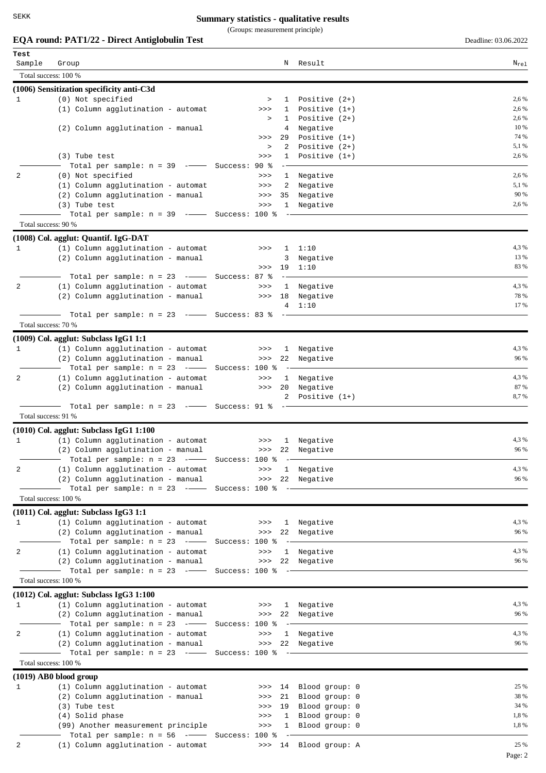(Groups: measurement principle)

# **EQA** round: **PAT1/22 - Direct Antiglobulin Test** Deadline: 03.06.2022

| Test                |                                                                            |                        |                       |                |
|---------------------|----------------------------------------------------------------------------|------------------------|-----------------------|----------------|
| Sample              | Group                                                                      | N                      | Result                | $N_{\rm rel}$  |
|                     | Total success: 100 %                                                       |                        |                       |                |
|                     | (1006) Sensitization specificity anti-C3d                                  |                        |                       |                |
| 1                   | (0) Not specified                                                          | $\, >$<br>$\mathbf{1}$ | Positive $(2+)$       | 2,6 %          |
|                     | (1) Column agglutination - automat                                         | >><br>1                | Positive $(1+)$       | 2,6 %          |
|                     |                                                                            | $\mathbf{1}$<br>$\, >$ | Positive $(2+)$       | 2,6 %          |
|                     | (2) Column agglutination - manual                                          | 4                      | Negative              | 10 %           |
|                     |                                                                            | 29<br>>>               | Positive $(1+)$       | 74 %           |
|                     |                                                                            | 2<br>$\, >$            | Positive $(2+)$       | 5,1 %          |
|                     | (3) Tube test                                                              | $\mathbf{1}$<br>>>     | Positive $(1+)$       | 2,6 %          |
|                     | Total per sample: $n = 39$ -- Success: 90 %                                |                        |                       |                |
| 2                   | (0) Not specified                                                          | >>                     | 1 Negative            | 2,6 %<br>5,1 % |
|                     | (1) Column agglutination - automat<br>(2) Column agglutination - manual    | 2<br>>><br>35<br>>>    | Negative<br>Negative  | 90 %           |
|                     | (3) Tube test                                                              | >>                     | 1 Negative            | 2,6 %          |
|                     | Total per sample: $n = 39$ -- Success: 100 %                               |                        |                       |                |
| Total success: 90 % |                                                                            |                        |                       |                |
|                     |                                                                            |                        |                       |                |
| 1                   | (1008) Col. agglut: Quantif. IgG-DAT<br>(1) Column agglutination - automat |                        |                       | 4,3%           |
|                     | (2) Column agglutination - manual                                          | >><br>1<br>3           | 1:10<br>Negative      | 13 %           |
|                     |                                                                            | 19<br>>>               | 1:10                  | 83 %           |
|                     | Total per sample: $n = 23$ -- Success: 87 %                                |                        |                       |                |
| 2                   | (1) Column agglutination - automat                                         | >>                     | 1 Negative            | 4,3%           |
|                     | (2) Column agglutination - manual                                          | 18<br>>>               | Negative              | 78 %           |
|                     |                                                                            | 4                      | 1:10                  | 17 %           |
|                     | Total per sample: $n = 23$ -- Success: 83 %                                |                        |                       |                |
| Total success: 70 % |                                                                            |                        |                       |                |
|                     | $(1009)$ Col. agglut: Subclass IgG1 1:1                                    |                        |                       |                |
| 1                   | (1) Column agglutination - automat                                         | >>                     | 1 Negative            | 4,3 %          |
|                     | (2) Column agglutination - manual                                          | >>>                    | 22 Negative           | 96 %           |
|                     | Total per sample: $n = 23$ -- Success: 100 %                               |                        |                       |                |
| 2                   | (1) Column agglutination - automat                                         | $>>>$                  | 1 Negative            | 4,3%           |
|                     | (2) Column agglutination - manual                                          | >> 20                  | Negative              | 87 %           |
|                     |                                                                            | 2                      | Positive $(1+)$       | 8,7%           |
|                     | Total per sample: $n = 23$ -- Success: 91 %                                |                        |                       |                |
| Total success: 91 % |                                                                            |                        |                       |                |
|                     | $(1010)$ Col. agglut: Subclass IgG1 1:100                                  |                        |                       |                |
| $\mathbf{1}$        | (1) Column agglutination - automat                                         | >>>                    | 1 Negative            | 4,3 %          |
|                     | (2) Column agglutination - manual                                          |                        | >>> 22 Negative       | 96 %           |
|                     |                                                                            |                        |                       |                |
| 2                   | (1) Column agglutination - automat                                         | >>>                    | 1 Negative            | 4,3 %          |
|                     | (2) Column agglutination - manual                                          | >>>                    | 22 Negative           | 96 %           |
|                     | Total per sample: $n = 23$ -- Success: 100 %                               |                        |                       |                |
|                     | Total success: 100 %                                                       |                        |                       |                |
|                     | $(1011)$ Col. agglut: Subclass IgG3 1:1                                    |                        |                       |                |
| 1                   | (1) Column agglutination - automat                                         | >>                     | 1 Negative            | 4,3 %          |
|                     | (2) Column agglutination - manual                                          |                        | >>> 22 Negative       | 96 %           |
|                     | $-$ Total per sample: n = 23 - $-$ Success: 100 %                          | $ -$                   |                       |                |
| 2                   | (1) Column agglutination - automat                                         | $>>>$                  | 1 Negative            | 4,3%           |
|                     | (2) Column agglutination - manual                                          |                        | >>> 22 Negative       | 96 %           |
|                     | - Total per sample: $n = 23$ -- Success: 100 %<br>Total success: 100 %     |                        |                       |                |
|                     |                                                                            |                        |                       |                |
|                     | $(1012)$ Col. agglut: Subclass IgG3 1:100                                  |                        |                       |                |
| $\mathbf{1}$        | (1) Column agglutination - automat                                         | >>>                    | 1 Negative            | 4,3 %          |
|                     | (2) Column agglutination - manual                                          |                        | >>> 22 Negative       | 96 %           |
|                     | Total per sample: $n = 23$ -- Success: 100 %                               | $\rightarrow$          |                       |                |
| 2                   | (1) Column agglutination - automat                                         | $>>>$                  | 1 Negative            | 4,3%           |
|                     | (2) Column agglutination - manual                                          |                        | >>> 22 Negative       | 96 %           |
|                     | Total per sample: $n = 23$ -- Success: 100 %                               |                        |                       |                |
|                     | Total success: 100 %                                                       |                        |                       |                |
|                     | (1019) AB0 blood group                                                     |                        |                       |                |
| 1                   | (1) Column agglutination - automat                                         | >>>                    | 14 Blood group: 0     | 25 %           |
|                     | (2) Column agglutination - manual                                          | 21<br>>>               | Blood group: 0        | 38 %           |
|                     | (3) Tube test                                                              | 19<br>>>               | Blood group: 0        | 34 %           |
|                     | (4) Solid phase                                                            | $\mathbf{1}$<br>>>     | Blood group: 0        | 1,8%           |
|                     | (99) Another measurement principle                                         | $\mathbf{1}$<br>$>>>$  | Blood group: 0        | 1,8%           |
|                     | Total per sample: $n = 56$ -- Success: 100 %                               |                        |                       |                |
| 2                   | (1) Column agglutination - automat                                         |                        | >>> 14 Blood group: A | 25 %           |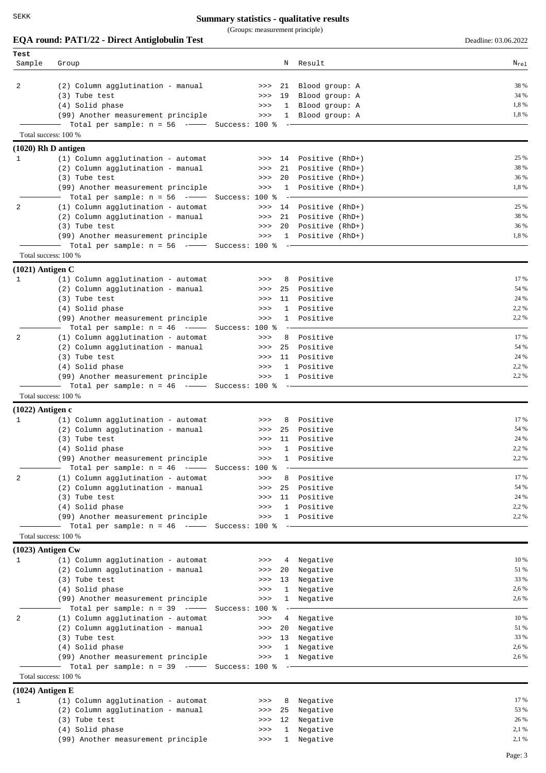SEKK

### **Summary statistics - qualitative results**

(Groups: measurement principle)

|                          | EQA round: PAT1/22 - Direct Antiglobulin Test                                      |                           |                        | Deadline: 03.06.2022 |
|--------------------------|------------------------------------------------------------------------------------|---------------------------|------------------------|----------------------|
| Test<br>Sample           | Group                                                                              | N                         | Result                 | $N_{re1}$            |
|                          |                                                                                    |                           |                        |                      |
| 2                        | (2) Column agglutination - manual                                                  | 21<br>>>>                 | Blood group: A         | 38 %                 |
|                          | (3) Tube test                                                                      | 19<br>>>                  | Blood group: A         | 34 %                 |
|                          | (4) Solid phase                                                                    | >><br>1                   | Blood group: A         | 1,8%                 |
|                          | (99) Another measurement principle                                                 | >>                        | Blood group: A<br>1    | 1,8%                 |
|                          | Total per sample: $n = 56$ -- Success: 100 %                                       |                           |                        |                      |
|                          | Total success: 100 %                                                               |                           |                        |                      |
| $(1020)$ Rh D antigen    |                                                                                    |                           |                        |                      |
| 1                        | $(1)$ Column agglutination - automat                                               |                           | >>> 14 Positive (RhD+) | 25 %                 |
|                          | (2) Column agglutination - manual                                                  | 21<br>>>                  | Positive (RhD+)        | 38 %                 |
|                          | (3) Tube test                                                                      | 20<br>>>                  | Positive (RhD+)        | 36 %                 |
|                          | (99) Another measurement principle<br>Total per sample: $n = 56$ -- Success: 100 % | $\mathbf{1}$<br>>><br>$-$ | Positive (RhD+)        | 1,8%                 |
| 2                        | (1) Column agglutination - automat                                                 | >>                        | 14 Positive (RhD+)     | 25 %                 |
|                          | (2) Column agglutination - manual                                                  | 21<br>>>                  | Positive (RhD+)        | 38 %                 |
|                          | (3) Tube test                                                                      | 20<br>>>                  | Positive (RhD+)        | 36 %                 |
|                          | (99) Another measurement principle                                                 | $>>>$                     | Positive (RhD+)<br>1   | 1,8%                 |
|                          | Total per sample: $n = 56$ -- Success: 100 %                                       |                           |                        |                      |
|                          | Total success: 100 %                                                               |                           |                        |                      |
| $(1021)$ Antigen C       |                                                                                    |                           |                        |                      |
| 1                        | (1) Column agglutination - automat                                                 | 8<br>>>                   | Positive               | 17 %                 |
|                          | (2) Column agglutination - manual                                                  | 25<br>>>                  | Positive               | 54 %<br>24 %         |
|                          | (3) Tube test                                                                      | 11<br>>><br>1             | Positive<br>Positive   | 2,2 %                |
|                          | (4) Solid phase<br>(99) Another measurement principle                              | >><br>$\mathbf 1$<br>>>   | Positive               | 2,2 %                |
|                          | Total per sample: $n = 46$ -- Success: 100 %                                       |                           |                        |                      |
| 2                        | (1) Column agglutination - automat                                                 | 8<br>>>                   | Positive               | 17 %                 |
|                          | (2) Column agglutination - manual                                                  | 25<br>>>                  | Positive               | 54 %                 |
|                          | (3) Tube test                                                                      | 11<br>>>                  | Positive               | 24 %                 |
|                          | (4) Solid phase                                                                    | $\mathbf{1}$<br>>>        | Positive               | 2,2 %                |
|                          | (99) Another measurement principle                                                 | >>                        | Positive<br>1          | 2,2 %                |
|                          | Total per sample: $n = 46$ -- Success: 100 %                                       |                           |                        |                      |
|                          | Total success: 100 %                                                               |                           |                        |                      |
| $(1022)$ Antigen c       |                                                                                    |                           |                        | 17 %                 |
| 1                        | (1) Column agglutination - automat                                                 | 8<br>>><br>25             | Positive<br>Positive   | 54 %                 |
|                          | (2) Column agglutination - manual<br>(3) Tube test                                 | >><br>11<br>>>            | Positive               | 24 %                 |
|                          | (4) Solid phase                                                                    | 1<br>>>                   | Positive               | 2,2%                 |
|                          | (99) Another measurement principle                                                 | >><br>1                   | Positive               | 2,2%                 |
|                          | Total per sample: $n = 46$ --                                                      | Success: 100 %            |                        |                      |
| 2                        | (1) Column agglutination - automat                                                 | 8<br>>>                   | Positive               | 17 %                 |
|                          | (2) Column agglutination - manual                                                  | 25<br>>>                  | Positive               | 54 %                 |
|                          | (3) Tube test                                                                      | 11<br>>>                  | Positive               | 24 %                 |
|                          | (4) Solid phase                                                                    | 1<br>>>                   | Positive               | 2,2 %                |
|                          | (99) Another measurement principle                                                 | $\mathbf{1}$<br>>>        | Positive               | 2,2%                 |
|                          | Total per sample: $n = 46$ -- Success: 100 %                                       |                           |                        |                      |
|                          | Total success: 100 %                                                               |                           |                        |                      |
| $(1023)$ Antigen Cw<br>1 | (1) Column agglutination - automat                                                 | $>>>$<br>4                | Negative               | 10 %                 |
|                          | (2) Column agglutination - manual                                                  | 20<br>>>                  | Negative               | 51 %                 |
|                          | (3) Tube test                                                                      | 13<br>>>                  | Negative               | 33 %                 |
|                          | (4) Solid phase                                                                    | 1<br>>>                   | Negative               | 2,6 %                |
|                          | (99) Another measurement principle                                                 | 1<br>>>                   | Negative               | 2,6 %                |
|                          | Total per sample: $n = 39$ -                                                       | Success: 100 %            |                        |                      |
| 2                        | (1) Column agglutination - automat                                                 | >><br>4                   | Negative               | 10 %                 |
|                          | (2) Column agglutination - manual                                                  | 20<br>>>                  | Negative               | 51 %                 |
|                          | (3) Tube test                                                                      | 13<br>>>                  | Negative               | 33 %                 |
|                          | (4) Solid phase                                                                    | $\mathbf{1}$<br>>>        | Negative               | 2,6 %                |
|                          | (99) Another measurement principle<br>Total per sample: $n = 39$ -- Success: 100 % | $>>>$<br>$\mathbf{1}$     | Negative               | 2,6 %                |
|                          | Total success: 100 %                                                               |                           |                        |                      |
| $(1024)$ Antigen E       |                                                                                    |                           |                        |                      |
| 1                        | (1) Column agglutination - automat                                                 | 8<br>>>                   | Negative               | 17 %                 |
|                          | (2) Column agglutination - manual                                                  | 25<br>>>                  | Negative               | 53 %                 |
|                          | (3) Tube test                                                                      | 12<br>>>                  | Negative               | 26 %                 |
|                          | (4) Solid phase                                                                    | 1<br>>>                   | Negative               | 2,1 %                |
|                          | (99) Another measurement principle                                                 | $\mathbf{1}$<br>$>>>$     | Negative               | 2,1 %                |

Page: 3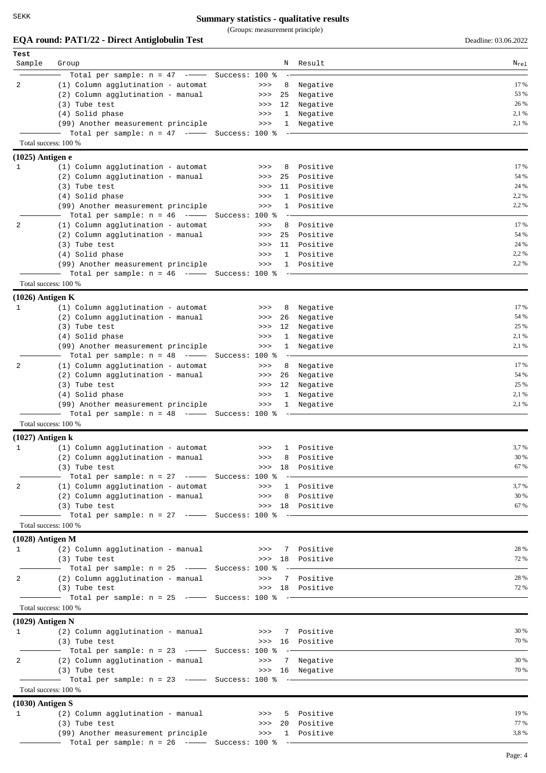(Groups: measurement principle)

**EQA** round: **PAT1/22 - Direct Antiglobulin Test** Deadline: 03.06.2022

| Test               |                                                                      |                |                      |                               |              |
|--------------------|----------------------------------------------------------------------|----------------|----------------------|-------------------------------|--------------|
| Sample             | Group                                                                |                | N                    | Result                        | $N_{re1}$    |
|                    | Total per sample: $n = 47$ -- Success: 100 %                         |                |                      |                               |              |
| 2                  | (1) Column agglutination - automat                                   |                | $>>>$<br>8           | Negative                      | 17 %<br>53 % |
|                    | (2) Column agglutination - manual<br>(3) Tube test                   |                | 25<br>>><br>12<br>>> | Negative<br>Negative          | 26 %         |
|                    | (4) Solid phase                                                      |                | 1<br>>>              | Negative                      | 2,1 %        |
|                    | (99) Another measurement principle                                   |                | >><br>$\mathbf{1}$   | Negative                      | 2,1 %        |
|                    | Total per sample: $n = 47$ -- Success: 100 %                         |                |                      |                               |              |
|                    | Total success: 100 %                                                 |                |                      |                               |              |
| $(1025)$ Antigen e |                                                                      |                |                      |                               |              |
| 1                  | (1) Column agglutination - automat                                   |                | 8<br>>>              | Positive                      | 17 %         |
|                    | (2) Column agglutination - manual                                    |                | 25<br>>>>            | Positive                      | 54 %         |
|                    | (3) Tube test                                                        |                | 11<br>>>             | Positive                      | 24 %         |
|                    | (4) Solid phase                                                      |                | 1<br>>>              | Positive                      | 2,2 %        |
|                    | (99) Another measurement principle                                   |                | 1<br>>>>             | Positive                      | 2,2%         |
|                    | Total per sample: $n = 46$ -                                         | Success: 100 % |                      |                               |              |
| 2                  | (1) Column agglutination - automat                                   |                | 8<br>>>              | Positive                      | 17 %<br>54 % |
|                    | (2) Column agglutination - manual<br>(3) Tube test                   |                | 25<br>>><br>11<br>>> | Positive<br>Positive          | 24 %         |
|                    | (4) Solid phase                                                      |                | $\mathbf{1}$<br>>>   | Positive                      | 2,2 %        |
|                    | (99) Another measurement principle                                   |                | $\mathbf{1}$<br>>>   | Positive                      | 2,2%         |
|                    | Total per sample: $n = 46$ -- Success: 100 %                         |                |                      |                               |              |
|                    | Total success: 100 %                                                 |                |                      |                               |              |
| $(1026)$ Antigen K |                                                                      |                |                      |                               |              |
| 1                  | (1) Column agglutination - automat                                   |                | 8<br>>>              | Negative                      | 17 %         |
|                    | (2) Column agglutination - manual                                    |                | 26<br>>>>            | Negative                      | 54 %         |
|                    | (3) Tube test                                                        |                | 12<br>>>>            | Negative                      | 25 %         |
|                    | (4) Solid phase                                                      |                | 1<br>>>>             | Negative                      | 2,1 %        |
|                    | (99) Another measurement principle                                   |                | 1<br>>>>             | Negative                      | 2,1 %        |
|                    | Total per sample: $n = 48$ -                                         | Success: 100 % |                      |                               |              |
| 2                  | (1) Column agglutination - automat                                   |                | 8<br>>>>             | Negative                      | 17 %         |
|                    | (2) Column agglutination - manual                                    |                | 26<br>>>>            | Negative                      | 54 %<br>25 % |
|                    | (3) Tube test<br>(4) Solid phase                                     |                | 12<br>>><br>>><br>1  | Negative<br>Negative          | 2,1 %        |
|                    | (99) Another measurement principle                                   |                | 1<br>>>>             | Negative                      | 2,1 %        |
|                    | Total per sample: $n = 48$ -- Success: 100 %                         |                |                      |                               |              |
|                    | Total success: 100 %                                                 |                |                      |                               |              |
| $(1027)$ Antigen k |                                                                      |                |                      |                               |              |
| 1                  | (1) Column agglutination - automat                                   |                | >>                   | 1 Positive                    | 3,7 %        |
|                    | (2) Column agglutination - manual                                    |                | >>>                  | 8 Positive                    | 30 %         |
|                    | (3) Tube test                                                        |                |                      | >>> 18 Positive               | 67 %         |
|                    | - Total per sample: n = 27 ------ Success: 100 %                     |                |                      |                               |              |
| 2                  | (1) Column agglutination - automat                                   |                | >>>                  | 1 Positive                    | 3,7%         |
|                    | (2) Column agglutination - manual                                    |                | >>                   | 8 Positive                    | 30 %         |
|                    | (3) Tube test                                                        |                |                      | >>> 18 Positive               | 67 %         |
|                    | Total per sample: $n = 27$ - Success: 100 % -                        |                |                      |                               |              |
|                    | Total success: 100 %                                                 |                |                      |                               |              |
| $(1028)$ Antigen M |                                                                      |                |                      |                               | 28 %         |
| 1                  | (2) Column agglutination - manual                                    |                |                      | >>> 7 Positive                | 72 %         |
|                    | (3) Tube test<br>$-$ Total per sample: $n = 25$ - $-$ Success: 100 % |                |                      | >>> 18 Positive               |              |
| 2                  | (2) Column agglutination - manual                                    |                | >>>                  | 7 Positive                    | 28 %         |
|                    | (3) Tube test                                                        |                |                      | >>> 18 Positive               | 72 %         |
|                    |                                                                      |                |                      |                               |              |
|                    | Total success: 100 %                                                 |                |                      |                               |              |
| $(1029)$ Antigen N |                                                                      |                |                      |                               |              |
| 1                  | (2) Column agglutination - manual                                    |                | >>>                  | 7 Positive                    | 30 %         |
|                    | (3) Tube test                                                        |                |                      | >>> 16 Positive               | 70 %         |
|                    | $-$ Total per sample: n = 23 - $-$ Success: 100 %                    |                |                      |                               |              |
| 2                  | (2) Column agglutination - manual                                    |                |                      | >>> 7 Negative                | 30 %         |
|                    | (3) Tube test                                                        |                |                      | >>> 16 Negative               | 70 %         |
|                    |                                                                      |                |                      |                               |              |
|                    | Total success: 100 %                                                 |                |                      |                               |              |
| $(1030)$ Antigen S |                                                                      |                |                      |                               |              |
| 1                  | (2) Column agglutination - manual                                    |                | >>>                  | 5 Positive                    | 19 %<br>77 % |
|                    | (3) Tube test<br>(99) Another measurement principle                  |                | >>                   | >>> 20 Positive<br>1 Positive | 3,8%         |
|                    | Total per sample: $n = 26$ -- Success: 100 % -                       |                |                      |                               |              |
|                    |                                                                      |                |                      |                               |              |